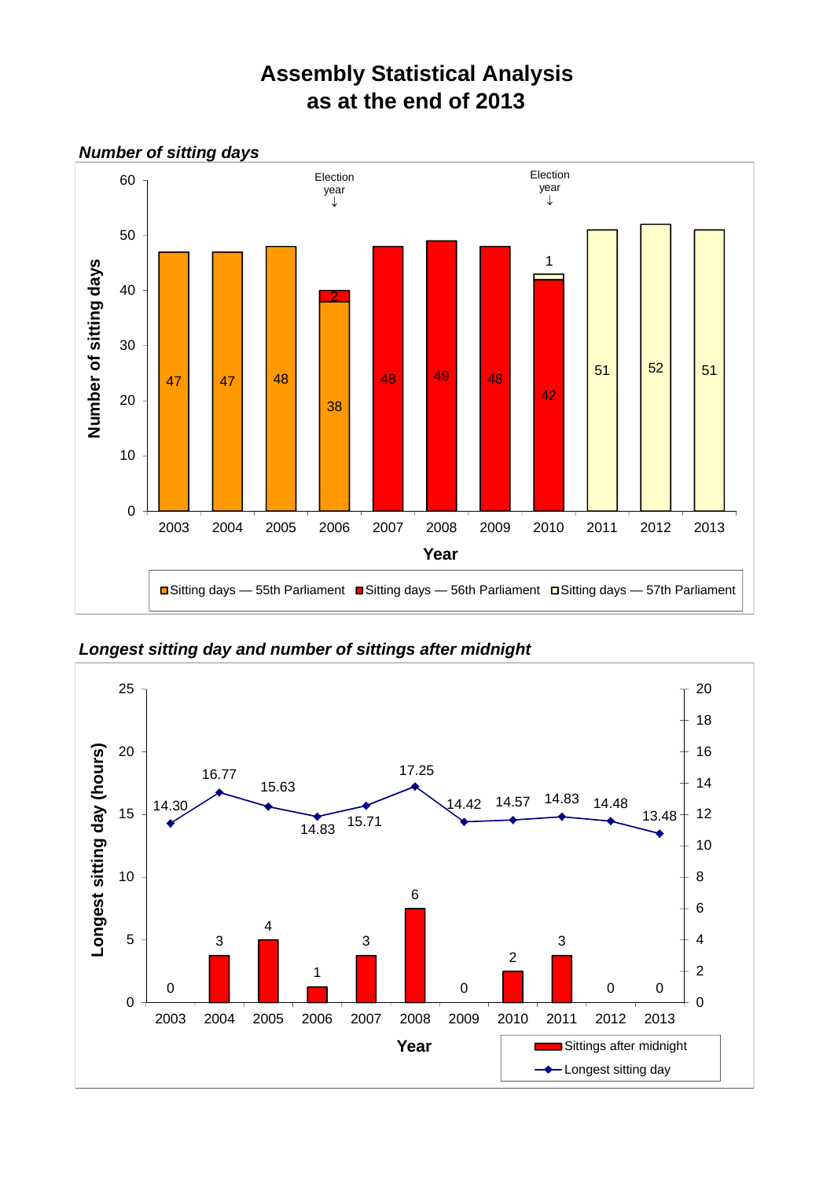## **Assembly Statistical Analysis as at the end of 2013**



*Longest sitting day and number of sittings after midnight*